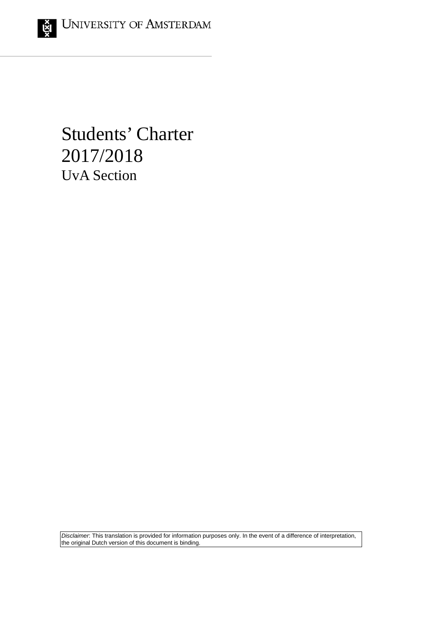# Students' Charter 2017/2018 UvA Section

*Disclaimer*: This translation is provided for information purposes only. In the event of a difference of interpretation, the original Dutch version of this document is binding.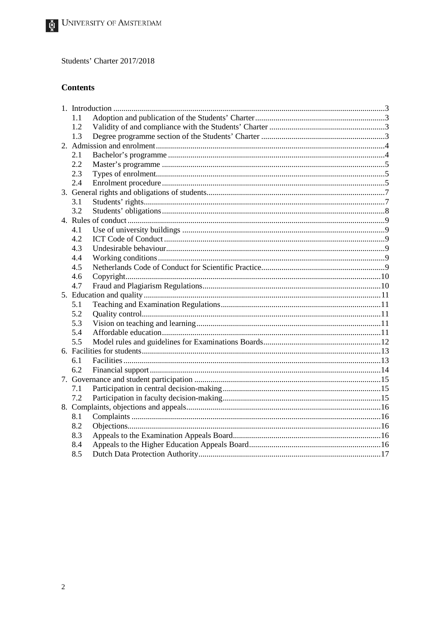# **Contents**

|  | 1.1 |  |  |
|--|-----|--|--|
|  | 1.2 |  |  |
|  | 1.3 |  |  |
|  |     |  |  |
|  | 2.1 |  |  |
|  | 2.2 |  |  |
|  | 2.3 |  |  |
|  | 2.4 |  |  |
|  |     |  |  |
|  | 3.1 |  |  |
|  | 3.2 |  |  |
|  |     |  |  |
|  | 4.1 |  |  |
|  | 4.2 |  |  |
|  | 4.3 |  |  |
|  | 4.4 |  |  |
|  | 4.5 |  |  |
|  | 4.6 |  |  |
|  | 4.7 |  |  |
|  |     |  |  |
|  | 5.1 |  |  |
|  | 5.2 |  |  |
|  | 5.3 |  |  |
|  | 5.4 |  |  |
|  | 5.5 |  |  |
|  |     |  |  |
|  | 6.1 |  |  |
|  | 6.2 |  |  |
|  |     |  |  |
|  | 7.1 |  |  |
|  | 7.2 |  |  |
|  |     |  |  |
|  | 8.1 |  |  |
|  | 8.2 |  |  |
|  | 8.3 |  |  |
|  | 8.4 |  |  |
|  | 8.5 |  |  |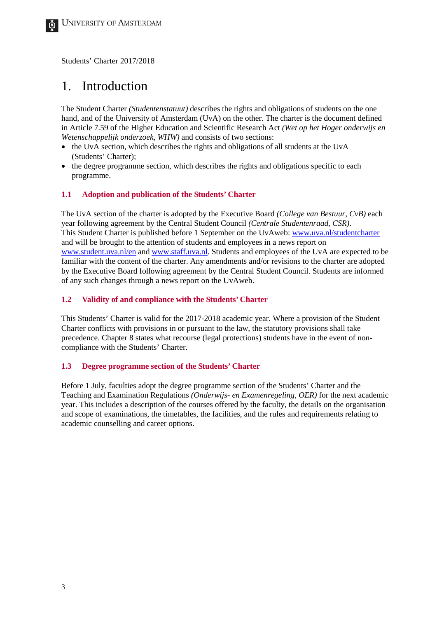# <span id="page-2-0"></span>1. Introduction

The Student Charter *(Studentenstatuut)* describes the rights and obligations of students on the one hand, and of the University of Amsterdam (UvA) on the other. The charter is the document defined in Article 7.59 of the Higher Education and Scientific Research Act *(Wet op het Hoger onderwijs en Wetenschappelijk onderzoek, WHW)* and consists of two sections:

- the UvA section, which describes the rights and obligations of all students at the UvA (Students' Charter);
- the degree programme section, which describes the rights and obligations specific to each programme.

#### <span id="page-2-1"></span>**1.1 Adoption and publication of the Students' Charter**

The UvA section of the charter is adopted by the Executive Board *(College van Bestuur, CvB)* each year following agreement by the Central Student Council *(Centrale Studentenraad, CSR)*. This Student Charter is published before 1 September on the UvAweb: [www.uva.nl/studentcharter](http://student.uva.nl/en/content/az/student-charter/student-charter.html) and will be brought to the attention of students and employees in a news report on [www.student.uva.nl/en](http://student.uva.nl/en/home) and [www.staff.uva.nl.](http://www.staff.uva.nl/) Students and employees of the UvA are expected to be familiar with the content of the charter. Any amendments and/or revisions to the charter are adopted by the Executive Board following agreement by the Central Student Council. Students are informed of any such changes through a news report on the UvAweb.

#### <span id="page-2-2"></span>**1.2 Validity of and compliance with the Students' Charter**

This Students' Charter is valid for the 2017-2018 academic year. Where a provision of the Student Charter conflicts with provisions in or pursuant to the law, the statutory provisions shall take precedence. Chapter 8 states what recourse (legal protections) students have in the event of noncompliance with the Students' Charter.

#### <span id="page-2-3"></span>**1.3 Degree programme section of the Students' Charter**

Before 1 July, faculties adopt the degree programme section of the Students' Charter and the Teaching and Examination Regulations *(Onderwijs- en Examenregeling, OER)* for the next academic year. This includes a description of the courses offered by the faculty, the details on the organisation and scope of examinations, the timetables, the facilities, and the rules and requirements relating to academic counselling and career options.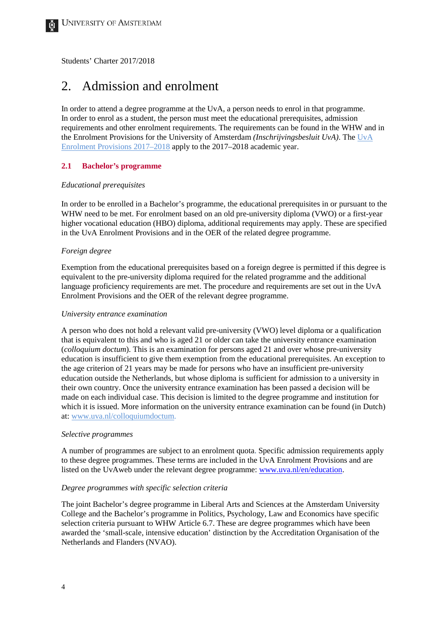# <span id="page-3-0"></span>2. Admission and enrolment

In order to attend a degree programme at the UvA, a person needs to enrol in that programme. In order to enrol as a student, the person must meet the educational prerequisites, admission requirements and other enrolment requirements. The requirements can be found in the WHW and in the Enrolment Provisions for the University of Amsterdam *(Inschrijvingsbesluit UvA)*. The UvA Enrolment Provisions 2017–2018 apply to the 2017–2018 academic year.

#### <span id="page-3-1"></span>**2.1 Bachelor's programme**

#### *Educational prerequisites*

In order to be enrolled in a Bachelor's programme, the educational prerequisites in or pursuant to the WHW need to be met. For enrolment based on an old pre-university diploma (VWO) or a first-year higher vocational education (HBO) diploma, additional requirements may apply. These are specified in the UvA Enrolment Provisions and in the OER of the related degree programme.

#### *Foreign degree*

Exemption from the educational prerequisites based on a foreign degree is permitted if this degree is equivalent to the pre-university diploma required for the related programme and the additional language proficiency requirements are met. The procedure and requirements are set out in the UvA Enrolment Provisions and the OER of the relevant degree programme.

#### *University entrance examination*

A person who does not hold a relevant valid pre-university (VWO) level diploma or a qualification that is equivalent to this and who is aged 21 or older can take the university entrance examination (*colloquium doctum*). This is an examination for persons aged 21 and over whose pre-university education is insufficient to give them exemption from the educational prerequisites. An exception to the age criterion of 21 years may be made for persons who have an insufficient pre-university education outside the Netherlands, but whose diploma is sufficient for admission to a university in their own country. Once the university entrance examination has been passed a decision will be made on each individual case. This decision is limited to the degree programme and institution for which it is issued. More information on the university entrance examination can be found (in Dutch) at: [www.uva.nl/colloquiumdoctum.](http://www.uva.nl/colloquiumdoctum)

#### *Selective programmes*

A number of programmes are subject to an enrolment quota. Specific admission requirements apply to these degree programmes. These terms are included in the UvA Enrolment Provisions and are listed on the UvAweb under the relevant degree programme: [www.uva.nl/en/education.](http://www.uva.nl/en/education)

#### *Degree programmes with specific selection criteria*

The joint Bachelor's degree programme in Liberal Arts and Sciences at the Amsterdam University College and the Bachelor's programme in Politics, Psychology, Law and Economics have specific selection criteria pursuant to WHW Article 6.7. These are degree programmes which have been awarded the 'small-scale, intensive education' distinction by the Accreditation Organisation of the Netherlands and Flanders (NVAO).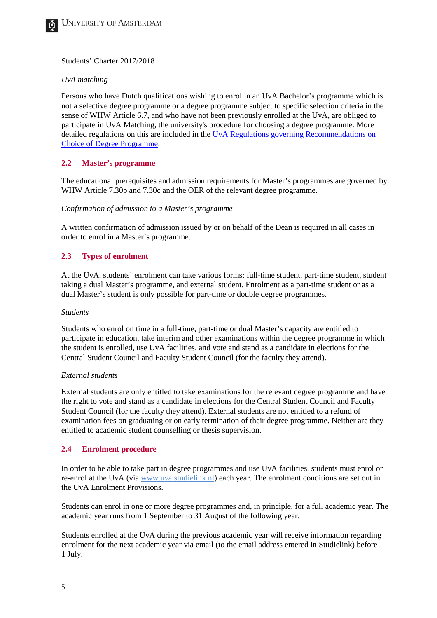

#### *UvA matching*

Persons who have Dutch qualifications wishing to enrol in an UvA Bachelor's programme which is not a selective degree programme or a degree programme subject to specific selection criteria in the sense of WHW Article 6.7, and who have not been previously enrolled at the UvA, are obliged to participate in UvA Matching, the university's procedure for choosing a degree programme. More detailed regulations on this are included in the [UvA Regulations governing Recommendations on](http://www.uva.nl/en/about-the-uva/organisation/legal-affairs/regulations/regulations.html)  [Choice of Degree Programme.](http://www.uva.nl/en/about-the-uva/organisation/legal-affairs/regulations/regulations.html)

# <span id="page-4-0"></span>**2.2 Master's programme**

The educational prerequisites and admission requirements for Master's programmes are governed by WHW Article 7.30b and 7.30c and the OER of the relevant degree programme.

#### *Confirmation of admission to a Master's programme*

A written confirmation of admission issued by or on behalf of the Dean is required in all cases in order to enrol in a Master's programme.

#### <span id="page-4-1"></span>**2.3 Types of enrolment**

At the UvA, students' enrolment can take various forms: full-time student, part-time student, student taking a dual Master's programme, and external student. Enrolment as a part-time student or as a dual Master's student is only possible for part-time or double degree programmes.

#### *Students*

Students who enrol on time in a full-time, part-time or dual Master's capacity are entitled to participate in education, take interim and other examinations within the degree programme in which the student is enrolled, use UvA facilities, and vote and stand as a candidate in elections for the Central Student Council and Faculty Student Council (for the faculty they attend).

#### *External students*

External students are only entitled to take examinations for the relevant degree programme and have the right to vote and stand as a candidate in elections for the Central Student Council and Faculty Student Council (for the faculty they attend). External students are not entitled to a refund of examination fees on graduating or on early termination of their degree programme. Neither are they entitled to academic student counselling or thesis supervision.

#### <span id="page-4-2"></span>**2.4 Enrolment procedure**

In order to be able to take part in degree programmes and use UvA facilities, students must enrol or re-enrol at the UvA (via [www.uva.studielink.nl\)](http://www.uva.studielink.nl/) each year. The enrolment conditions are set out in the UvA Enrolment Provisions.

Students can enrol in one or more degree programmes and, in principle, for a full academic year. The academic year runs from 1 September to 31 August of the following year.

Students enrolled at the UvA during the previous academic year will receive information regarding enrolment for the next academic year via email (to the email address entered in Studielink) before 1 July.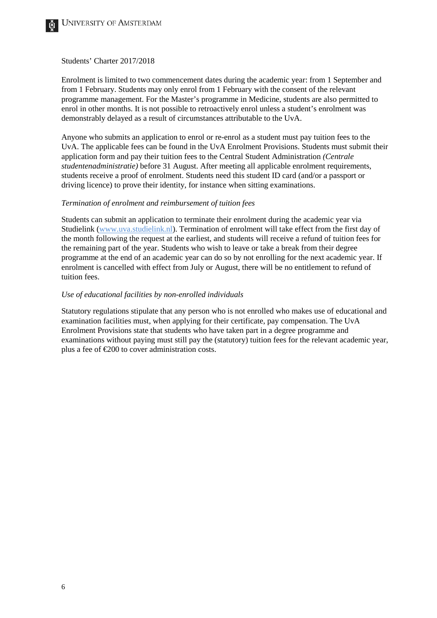

Enrolment is limited to two commencement dates during the academic year: from 1 September and from 1 February. Students may only enrol from 1 February with the consent of the relevant programme management. For the Master's programme in Medicine, students are also permitted to enrol in other months. It is not possible to retroactively enrol unless a student's enrolment was demonstrably delayed as a result of circumstances attributable to the UvA.

Anyone who submits an application to enrol or re-enrol as a student must pay tuition fees to the UvA. The applicable fees can be found in the UvA Enrolment Provisions. Students must submit their application form and pay their tuition fees to the Central Student Administration *(Centrale studentenadministratie)* before 31 August. After meeting all applicable enrolment requirements, students receive a proof of enrolment. Students need this student ID card (and/or a passport or driving licence) to prove their identity, for instance when sitting examinations.

#### *Termination of enrolment and reimbursement of tuition fees*

Students can submit an application to terminate their enrolment during the academic year via Studielink [\(www.uva.studielink.nl\)](http://www.uva.studielink.nl/). Termination of enrolment will take effect from the first day of the month following the request at the earliest, and students will receive a refund of tuition fees for the remaining part of the year. Students who wish to leave or take a break from their degree programme at the end of an academic year can do so by not enrolling for the next academic year. If enrolment is cancelled with effect from July or August, there will be no entitlement to refund of tuition fees.

### *Use of educational facilities by non-enrolled individuals*

Statutory regulations stipulate that any person who is not enrolled who makes use of educational and examination facilities must, when applying for their certificate, pay compensation. The UvA Enrolment Provisions state that students who have taken part in a degree programme and examinations without paying must still pay the (statutory) tuition fees for the relevant academic year, plus a fee of  $\epsilon$ 200 to cover administration costs.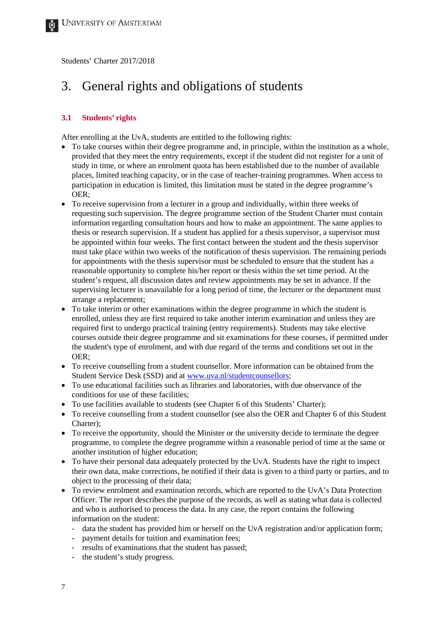# <span id="page-6-0"></span>3. General rights and obligations of students

#### <span id="page-6-1"></span>**3.1 Students' rights**

After enrolling at the UvA, students are entitled to the following rights:

- To take courses within their degree programme and, in principle, within the institution as a whole, provided that they meet the entry requirements, except if the student did not register for a unit of study in time, or where an enrolment quota has been established due to the number of available places, limited teaching capacity, or in the case of teacher-training programmes. When access to participation in education is limited, this limitation must be stated in the degree programme's OER;
- To receive supervision from a lecturer in a group and individually, within three weeks of requesting such supervision. The degree programme section of the Student Charter must contain information regarding consultation hours and how to make an appointment. The same applies to thesis or research supervision. If a student has applied for a thesis supervisor, a supervisor must be appointed within four weeks. The first contact between the student and the thesis supervisor must take place within two weeks of the notification of thesis supervision. The remaining periods for appointments with the thesis supervisor must be scheduled to ensure that the student has a reasonable opportunity to complete his/her report or thesis within the set time period. At the student's request, all discussion dates and review appointments may be set in advance. If the supervising lecturer is unavailable for a long period of time, the lecturer or the department must arrange a replacement;
- To take interim or other examinations within the degree programme in which the student is enrolled, unless they are first required to take another interim examination and unless they are required first to undergo practical training (entry requirements). Students may take elective courses outside their degree programme and sit examinations for these courses, if permitted under the student's type of enrolment, and with due regard of the terms and conditions set out in the OER;
- To receive counselling from a student counsellor. More information can be obtained from the Student Service Desk (SSD) and at [www.uva.nl/studentcounsellors;](http://student.uva.nl/en/content/az/student-counsellors/student-counsellors.html)
- To use educational facilities such as libraries and laboratories, with due observance of the conditions for use of these facilities;
- To use facilities available to students (see Chapter 6 of this Students' Charter);
- To receive counselling from a student counsellor (see also the OER and Chapter 6 of this Student Charter);
- To receive the opportunity, should the Minister or the university decide to terminate the degree programme, to complete the degree programme within a reasonable period of time at the same or another institution of higher education;
- To have their personal data adequately protected by the UvA. Students have the right to inspect their own data, make corrections, be notified if their data is given to a third party or parties, and to object to the processing of their data;
- To review enrolment and examination records, which are reported to the UvA's Data Protection Officer. The report describes the purpose of the records, as well as stating what data is collected and who is authorised to process the data. In any case, the report contains the following information on the student:
	- data the student has provided him or herself on the UvA registration and/or application form;
	- payment details for tuition and examination fees:
	- results of examinations that the student has passed;
	- the student's study progress.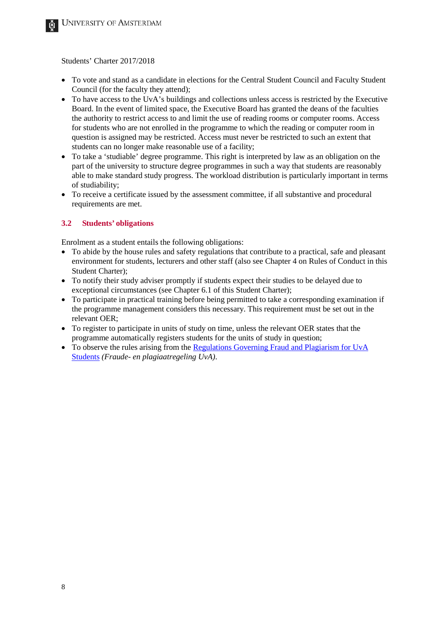- To vote and stand as a candidate in elections for the Central Student Council and Faculty Student Council (for the faculty they attend);
- To have access to the UvA's buildings and collections unless access is restricted by the Executive Board. In the event of limited space, the Executive Board has granted the deans of the faculties the authority to restrict access to and limit the use of reading rooms or computer rooms. Access for students who are not enrolled in the programme to which the reading or computer room in question is assigned may be restricted. Access must never be restricted to such an extent that students can no longer make reasonable use of a facility;
- To take a 'studiable' degree programme. This right is interpreted by law as an obligation on the part of the university to structure degree programmes in such a way that students are reasonably able to make standard study progress. The workload distribution is particularly important in terms of studiability;
- To receive a certificate issued by the assessment committee, if all substantive and procedural requirements are met.

# <span id="page-7-0"></span>**3.2 Students' obligations**

Enrolment as a student entails the following obligations:

- To abide by the house rules and safety regulations that contribute to a practical, safe and pleasant environment for students, lecturers and other staff (also see Chapter 4 on Rules of Conduct in this Student Charter);
- To notify their study adviser promptly if students expect their studies to be delayed due to exceptional circumstances (see Chapter 6.1 of this Student Charter);
- To participate in practical training before being permitted to take a corresponding examination if the programme management considers this necessary. This requirement must be set out in the relevant OER;
- To register to participate in units of study on time, unless the relevant OER states that the programme automatically registers students for the units of study in question;
- To observe the rules arising from the [Regulations Governing Fraud and](http://www.uva.nl/en/about-the-uva/uva-profile/rules-and-regulations/teaching/teaching.html) Plagiarism for UvA [Students](http://www.uva.nl/en/about-the-uva/uva-profile/rules-and-regulations/teaching/teaching.html) *(Fraude- en plagiaatregeling UvA)*.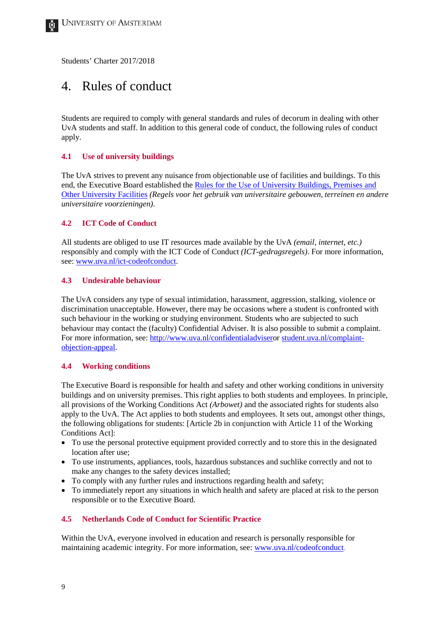# <span id="page-8-0"></span>4. Rules of conduct

Students are required to comply with general standards and rules of decorum in dealing with other UvA students and staff. In addition to this general code of conduct, the following rules of conduct apply.

#### <span id="page-8-1"></span>**4.1 Use of university buildings**

The UvA strives to prevent any nuisance from objectionable use of facilities and buildings. To this end, the Executive Board established the [Rules for the Use of University Buildings, Premises and](http://www.uva.nl/en/about-the-uva/organisation/legal-affairs/regulations/regulations.html)  [Other University Facilities](http://www.uva.nl/en/about-the-uva/organisation/legal-affairs/regulations/regulations.html) *(Regels voor het gebruik van universitaire gebouwen, terreinen en andere universitaire voorzieningen)*.

#### <span id="page-8-2"></span>**4.2 ICT Code of Conduct**

All students are obliged to use IT resources made available by the UvA *(email, internet, etc.)* responsibly and comply with the ICT Code of Conduct *(ICT-gedragsregels)*. For more information, see: [www.uva.nl/ict-codeofconduct.](https://extranet.uva.nl/en/content/a-z/ict-code-of-conduct/ict-code-of-conduct.html)

#### <span id="page-8-3"></span>**4.3 Undesirable behaviour**

The UvA considers any type of sexual intimidation, harassment, aggression, stalking, violence or discrimination unacceptable. However, there may be occasions where a student is confronted with such behaviour in the working or studying environment. Students who are subjected to such behaviour may contact the (faculty) Confidential Adviser. It is also possible to submit a complaint. For more information, see: [http://www.uva.nl/confidentialadvisero](http://www.uva.nl/confidentialadviser)r [student.uva.nl/complaint](http://student.uva.nl/en/content/az/complaints-objections-and-appeals/informal-procedure/informal-procedure.html)[objection-appeal.](http://student.uva.nl/en/content/az/complaints-objections-and-appeals/informal-procedure/informal-procedure.html)

#### <span id="page-8-4"></span>**4.4 Working conditions**

The Executive Board is responsible for health and safety and other working conditions in university buildings and on university premises. This right applies to both students and employees. In principle, all provisions of the Working Conditions Act *(Arbowet)* and the associated rights for students also apply to the UvA. The Act applies to both students and employees. It sets out, amongst other things, the following obligations for students: [Article 2b in conjunction with Article 11 of the Working Conditions Act]:

- To use the personal protective equipment provided correctly and to store this in the designated location after use;
- To use instruments, appliances, tools, hazardous substances and suchlike correctly and not to make any changes to the safety devices installed;
- To comply with any further rules and instructions regarding health and safety;
- To immediately report any situations in which health and safety are placed at risk to the person responsible or to the Executive Board.

# <span id="page-8-5"></span>**4.5 Netherlands Code of Conduct for Scientific Practice**

Within the UvA, everyone involved in education and research is personally responsible for maintaining academic integrity. For more information, see[: www.uva.nl/codeofconduct.](http://www.uva.nl/codeofconduct)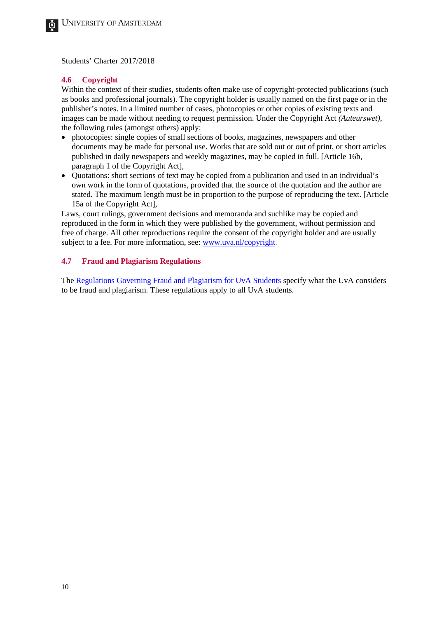#### <span id="page-9-0"></span>**4.6 Copyright**

Within the context of their studies, students often make use of copyright-protected publications (such as books and professional journals). The copyright holder is usually named on the first page or in the publisher's notes. In a limited number of cases, photocopies or other copies of existing texts and images can be made without needing to request permission. Under the Copyright Act *(Auteurswet)*, the following rules (amongst others) apply:

- photocopies: single copies of small sections of books, magazines, newspapers and other documents may be made for personal use. Works that are sold out or out of print, or short articles published in daily newspapers and weekly magazines, may be copied in full. [Article 16b, paragraph 1 of the Copyright Act],
- Quotations: short sections of text may be copied from a publication and used in an individual's own work in the form of quotations, provided that the source of the quotation and the author are stated. The maximum length must be in proportion to the purpose of reproducing the text. [Article 15a of the Copyright Act],

Laws, court rulings, government decisions and memoranda and suchlike may be copied and reproduced in the form in which they were published by the government, without permission and free of charge. All other reproductions require the consent of the copyright holder and are usually subject to a fee. For more information, see: [www.uva.nl/copyright.](http://uba.uva.nl/en/services/citing-and-publishing/copyright/copyright-information-site.html)

#### <span id="page-9-1"></span>**4.7 Fraud and Plagiarism Regulations**

The [Regulations Governing Fraud and Plagiarism for UvA Students](http://www.uva.nl/en/about-the-uva/uva-profile/rules-and-regulations/rules-and-regulations.html) specify what the UvA considers to be fraud and plagiarism. These regulations apply to all UvA students.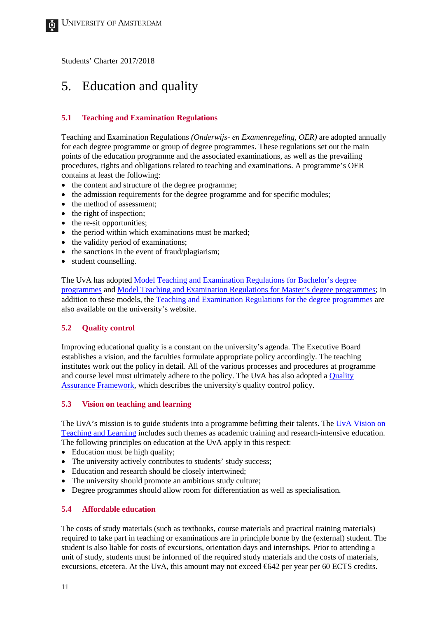# <span id="page-10-0"></span>5. Education and quality

# <span id="page-10-1"></span>**5.1 Teaching and Examination Regulations**

Teaching and Examination Regulations *(Onderwijs- en Examenregeling, OER)* are adopted annually for each degree programme or group of degree programmes. These regulations set out the main points of the education programme and the associated examinations, as well as the prevailing procedures, rights and obligations related to teaching and examinations. A programme's OER contains at least the following:

- the content and structure of the degree programme;
- the admission requirements for the degree programme and for specific modules;
- the method of assessment:
- the right of inspection;
- the re-sit opportunities;
- the period within which examinations must be marked:
- the validity period of examinations;
- the sanctions in the event of fraud/plagiarism;
- student counselling.

The UvA has adopte[d Model Teaching and Examination Regulations](http://www.uva.nl/en/about-the-uva/uva-profile/rules-and-regulations/rules-and-regulations.html) for Bachelor's degree [programmes](http://www.uva.nl/en/about-the-uva/uva-profile/rules-and-regulations/rules-and-regulations.html) and [Model Teaching and Examination Regulations for Master's degree programmes;](http://www.uva.nl/en/about-the-uva/uva-profile/rules-and-regulations/rules-and-regulations.html) in addition to these models, the [Teaching and Examination Regulations for the degree programmes](http://www.uva.nl/en/about-the-uva/uva-profile/rules-and-regulations/rules-and-regulations.html) are also available on the university's website.

# <span id="page-10-2"></span>**5.2 Quality control**

Improving educational quality is a constant on the university's agenda. The Executive Board establishes a vision, and the faculties formulate appropriate policy accordingly. The teaching institutes work out the policy in detail. All of the various processes and procedures at programme and course level must ultimately adhere to the policy. The UvA has also adopted a [Quality](http://www.uva.nl/en/about-the-uva/uva-profile/policy-papers/education-policy/quality-assurance-framework/quality-assurance-framework.html)  [Assurance Framework,](http://www.uva.nl/en/about-the-uva/uva-profile/policy-papers/education-policy/quality-assurance-framework/quality-assurance-framework.html) which describes the university's quality control policy.

# <span id="page-10-3"></span>**5.3 Vision on teaching and learning**

The UvA's mission is to guide students into a programme befitting their talents. The UvA Vision on [Teaching and Learning](http://www.uva.nl/en/education/quality-of-education/vision.html) includes such themes as academic training and research-intensive education. The following principles on education at the UvA apply in this respect:

- Education must be high quality;
- The university actively contributes to students' study success;
- Education and research should be closely intertwined;
- The university should promote an ambitious study culture;
- Degree programmes should allow room for differentiation as well as specialisation.

# <span id="page-10-4"></span>**5.4 Affordable education**

The costs of study materials (such as textbooks, course materials and practical training materials) required to take part in teaching or examinations are in principle borne by the (external) student. The student is also liable for costs of excursions, orientation days and internships. Prior to attending a unit of study, students must be informed of the required study materials and the costs of materials, excursions, etcetera. At the UvA, this amount may not exceed €642 per year per 60 ECTS credits.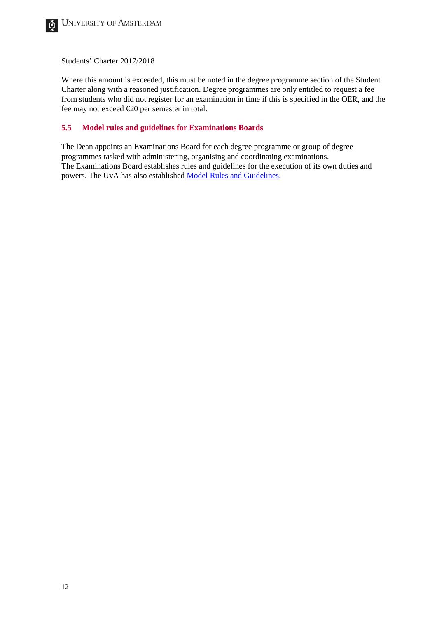Where this amount is exceeded, this must be noted in the degree programme section of the Student Charter along with a reasoned justification. Degree programmes are only entitled to request a fee from students who did not register for an examination in time if this is specified in the OER, and the fee may not exceed €20 per semester in total.

#### <span id="page-11-0"></span>**5.5 Model rules and guidelines for Examinations Boards**

The Dean appoints an Examinations Board for each degree programme or group of degree programmes tasked with administering, organising and coordinating examinations. The Examinations Board establishes rules and guidelines for the execution of its own duties and powers. The UvA has also established [Model Rules and Guidelines.](http://www.uva.nl/en/about-the-uva/uva-profile/rules-and-regulations/rules-and-regulations.html)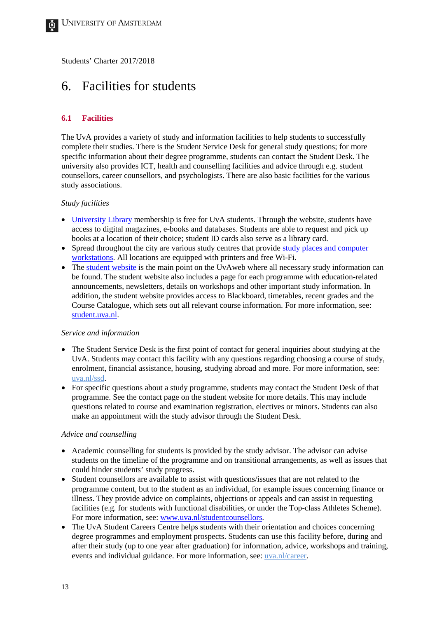# <span id="page-12-0"></span>6. Facilities for students

### <span id="page-12-1"></span>**6.1 Facilities**

The UvA provides a variety of study and information facilities to help students to successfully complete their studies. There is the Student Service Desk for general study questions; for more specific information about their degree programme, students can contact the Student Desk. The university also provides ICT, health and counselling facilities and advice through e.g. student counsellors, career counsellors, and psychologists. There are also basic facilities for the various study associations.

#### *Study facilities*

- [University Library](http://uba.uva.nl/en/home) membership is free for UvA students. Through the website, students have access to digital magazines, e-books and databases. Students are able to request and pick up books at a location of their choice; student ID cards also serve as a library card.
- Spread throughout the city are various study centres that provide study places and computer [workstations.](http://student.uva.nl/en/az/a-z/a-z/content/folder/study-centres/study-centres.html) All locations are equipped with printers and free Wi-Fi.
- Th[e student website](http://www.student.uva.nl/en) is the main point on the UvAweb where all necessary study information can be found. The student website also includes a page for each programme with education-related announcements, newsletters, details on workshops and other important study information. In addition, the student website provides access to Blackboard, timetables, recent grades and the Course Catalogue, which sets out all relevant course information. For more information, see: [student.uva.nl.](http://student.uva.nl/en/home)

#### *Service and information*

- The Student Service Desk is the first point of contact for general inquiries about studying at the UvA. Students may contact this facility with any questions regarding choosing a course of study, enrolment, financial assistance, housing, studying abroad and more. For more information, see: [uva.nl/ssd.](http://student.uva.nl/en/contact/student-service-desk/student-service-desk.html)
- For specific questions about a study programme, students may contact the Student Desk of that programme. See the contact page on the student website for more details. This may include questions related to course and examination registration, electives or minors. Students can also make an appointment with the study advisor through the Student Desk.

#### *Advice and counselling*

- Academic counselling for students is provided by the study advisor. The advisor can advise students on the timeline of the programme and on transitional arrangements, as well as issues that could hinder students' study progress.
- Student counsellors are available to assist with questions/issues that are not related to the programme content, but to the student as an individual, for example issues concerning finance or illness. They provide advice on complaints, objections or appeals and can assist in requesting facilities (e.g. for students with functional disabilities, or under the Top-class Athletes Scheme). For more information, see: [www.uva.nl/studentcounsellors.](http://student.uva.nl/en/content/az/student-counsellors/contact/contact-student-counsellors.html)
- The UvA Student Careers Centre helps students with their orientation and choices concerning degree programmes and employment prospects. Students can use this facility before, during and after their study (up to one year after graduation) for information, advice, workshops and training, events and individual guidance. For more information, see: [uva.nl/career.](http://www.uva.nl/career)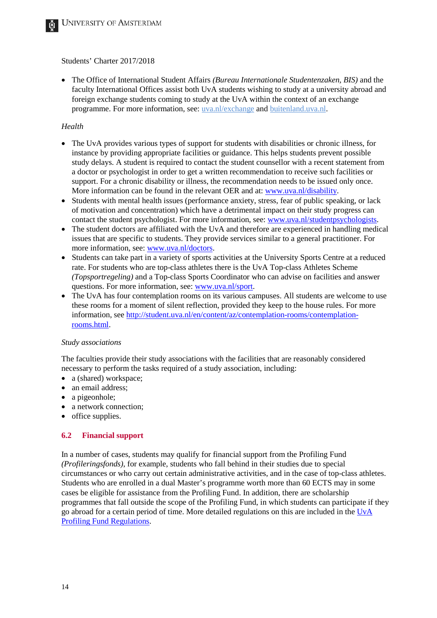• The Office of International Student Affairs *(Bureau Internationale Studentenzaken, BIS)* and the faculty International Offices assist both UvA students wishing to study at a university abroad and foreign exchange students coming to study at the UvA within the context of an exchange programme. For more information, see: [uva.nl/exchange](http://uva.nl/exchange) and [buitenland.uva.nl.](http://www.buitenland.uva.nl/)

#### *Health*

- The UvA provides various types of support for students with disabilities or chronic illness, for instance by providing appropriate facilities or guidance. This helps students prevent possible study delays. A student is required to contact the student counsellor with a recent statement from a doctor or psychologist in order to get a written recommendation to receive such facilities or support. For a chronic disability or illness, the recommendation needs to be issued only once. More information can be found in the relevant OER and at: [www.uva.nl/disability.](http://student.uva.nl/en/content/az/disability-or-chronic-illness/disability-or-chronic-illness.html)
- Students with mental health issues (performance anxiety, stress, fear of public speaking, or lack of motivation and concentration) which have a detrimental impact on their study progress can contact the student psychologist. For more information, see: [www.uva.nl/studentpsychologists.](http://www.uva.nl/studentpsychologists)
- The student doctors are affiliated with the UvA and therefore are experienced in handling medical issues that are specific to students. They provide services similar to a general practitioner. For more information, see: [www.uva.nl/doctors.](http://student.uva.nl/en/content/az/doctors/doctors.html?origin=KRqlSCJvTWW3Nl%2FRMdykVg)
- Students can take part in a variety of sports activities at the University Sports Centre at a reduced rate. For students who are top-class athletes there is the UvA Top-class Athletes Scheme *(Topsportregeling)* and a Top-class Sports Coordinator who can advise on facilities and answer questions. For more information, see: [www.uva.nl/sport.](http://student.uva.nl/en/content/az/sport-and-fitness/sports-university-sports-centre.html?origin=KRqlSCJvTWW3Nl%2FRMdykVg)
- The UvA has four contemplation rooms on its various campuses. All students are welcome to use these rooms for a moment of silent reflection, provided they keep to the house rules. For more information, see [http://student.uva.nl/en/content/az/contemplation-rooms/contemplation](http://student.uva.nl/en/content/az/contemplation-rooms/contemplation-rooms.html)[rooms.html.](http://student.uva.nl/en/content/az/contemplation-rooms/contemplation-rooms.html)

#### *Study associations*

The faculties provide their study associations with the facilities that are reasonably considered necessary to perform the tasks required of a study association, including:

- a (shared) workspace;
- an email address;
- a pigeonhole;
- a network connection;
- office supplies.

# <span id="page-13-0"></span>**6.2 Financial support**

In a number of cases, students may qualify for financial support from the Profiling Fund *(Profileringsfonds)*, for example, students who fall behind in their studies due to special circumstances or who carry out certain administrative activities, and in the case of top-class athletes. Students who are enrolled in a dual Master's programme worth more than 60 ECTS may in some cases be eligible for assistance from the Profiling Fund. In addition, there are scholarship programmes that fall outside the scope of the Profiling Fund, in which students can participate if they go abroad for a certain period of time. More detailed regulations on this are included in the [UvA](http://student.uva.nl/en/az/a-z/a-z/content/folder/grants-scholarships-and-loans/scholarships-and-loans.html)  [Profiling Fund Regulations.](http://student.uva.nl/en/az/a-z/a-z/content/folder/grants-scholarships-and-loans/scholarships-and-loans.html)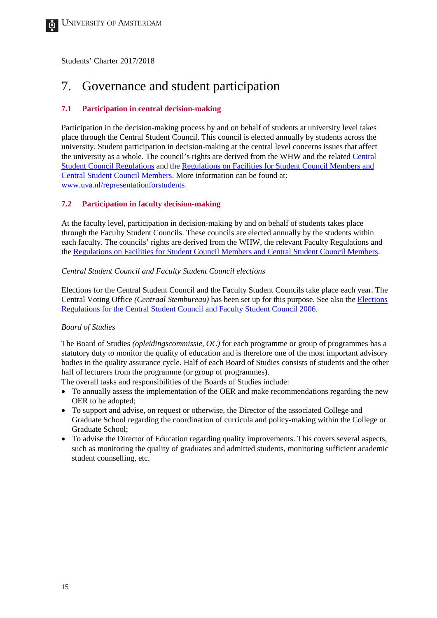# <span id="page-14-0"></span>7. Governance and student participation

### <span id="page-14-1"></span>**7.1 Participation in central decision-making**

Participation in the decision-making process by and on behalf of students at university level takes place through the Central Student Council. This council is elected annually by students across the university. Student participation in decision-making at the central level concerns issues that affect the university as a whole. The council's rights are derived from the WHW and the related [Central](http://www.uva.nl/en/about-the-uva/uva-profile/rules-and-regulations/central-representative-advisory-bodies/central-representative-advisory-bodies.html)  [Student Council Regulations](http://www.uva.nl/en/about-the-uva/uva-profile/rules-and-regulations/central-representative-advisory-bodies/central-representative-advisory-bodies.html) and th[e Regulations on Facilities for Student Council Members and](http://www.uva.nl/en/about-the-uva/uva-profile/rules-and-regulations/central-representative-advisory-bodies/central-representative-advisory-bodies.html)  [Central Student Council Members.](http://www.uva.nl/en/about-the-uva/uva-profile/rules-and-regulations/central-representative-advisory-bodies/central-representative-advisory-bodies.html) More information can be found at: [www.uva.nl/representationforstudents.](http://student.uva.nl/en/content/az/student-representation/student-representation.html)

#### <span id="page-14-2"></span>**7.2 Participation in faculty decision-making**

At the faculty level, participation in decision-making by and on behalf of students takes place through the Faculty Student Councils. These councils are elected annually by the students within each faculty. The councils' rights are derived from the WHW, the relevant Faculty Regulations and the [Regulations on Facilities for Student Council Members and Central Student Council Members.](http://www.uva.nl/en/about-the-uva/uva-profile/rules-and-regulations/central-representative-advisory-bodies/central-representative-advisory-bodies.html)

#### *Central Student Council and Faculty Student Council elections*

Elections for the Central Student Council and the Faculty Student Councils take place each year. The Central Voting Office *(Centraal Stembureau)* has been set up for this purpose. See also the [Elections](http://www.uva.nl/en/about-the-uva/uva-profile/rules-and-regulations/central-representative-advisory-bodies/central-representative-advisory-bodies.html)  [Regulations for the Central Student Council and Faculty Student Council 2006.](http://www.uva.nl/en/about-the-uva/uva-profile/rules-and-regulations/central-representative-advisory-bodies/central-representative-advisory-bodies.html)

#### *Board of Studies*

The Board of Studies *(opleidingscommissie, OC)* for each programme or group of programmes has a statutory duty to monitor the quality of education and is therefore one of the most important advisory bodies in the quality assurance cycle. Half of each Board of Studies consists of students and the other half of lecturers from the programme (or group of programmes).

The overall tasks and responsibilities of the Boards of Studies include:

- To annually assess the implementation of the OER and make recommendations regarding the new OER to be adopted;
- To support and advise, on request or otherwise, the Director of the associated College and Graduate School regarding the coordination of curricula and policy-making within the College or Graduate School;
- To advise the Director of Education regarding quality improvements. This covers several aspects, such as monitoring the quality of graduates and admitted students, monitoring sufficient academic student counselling, etc.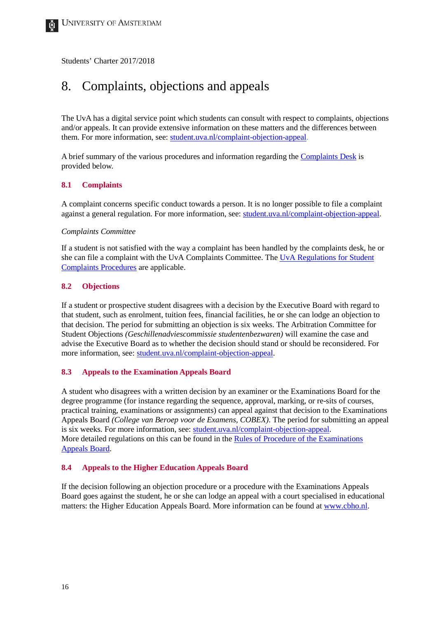# <span id="page-15-0"></span>8. Complaints, objections and appeals

The UvA has a digital service point which students can consult with respect to complaints, objections and/or appeals. It can provide extensive information on these matters and the differences between them. For more information, see: [student.uva.nl/complaint-objection-appeal.](http://student.uva.nl/en/content/az/complaints-objections-and-appeals/complaints-objections-and-appeals.html)

A brief summary of the various procedures and information regarding th[e Complaints Desk](http://student.uva.nl/en/content/az/complaints-objections-and-appeals/complaints-objections-and-appeals.html) is provided below.

#### <span id="page-15-1"></span>**8.1 Complaints**

A complaint concerns specific conduct towards a person. It is no longer possible to file a complaint against a general regulation. For more information, see: [student.uva.nl/complaint-objection-appeal.](http://student.uva.nl/en/content/az/complaints-objections-and-appeals/complaints-objections-and-appeals.html)

#### *Complaints Committee*

If a student is not satisfied with the way a complaint has been handled by the complaints desk, he or she can file a complaint with the UvA Complaints Committee. The [UvA Regulations for Student](http://student.uva.nl/en/content/az/complaints-objections-and-appeals/complaints-objections-and-appeals.html)  [Complaints Procedures](http://student.uva.nl/en/content/az/complaints-objections-and-appeals/complaints-objections-and-appeals.html) are applicable.

#### <span id="page-15-2"></span>**8.2 Objections**

If a student or prospective student disagrees with a decision by the Executive Board with regard to that student, such as enrolment, tuition fees, financial facilities, he or she can lodge an objection to that decision. The period for submitting an objection is six weeks. The Arbitration Committee for Student Objections *(Geschillenadviescommissie studentenbezwaren)* will examine the case and advise the Executive Board as to whether the decision should stand or should be reconsidered. For more information, see: [student.uva.nl/complaint-objection-appeal.](http://student.uva.nl/en/content/az/complaints-objections-and-appeals/complaints-objections-and-appeals.html)

#### <span id="page-15-3"></span>**8.3 Appeals to the Examination Appeals Board**

A student who disagrees with a written decision by an examiner or the Examinations Board for the degree programme (for instance regarding the sequence, approval, marking, or re-sits of courses, practical training, examinations or assignments) can appeal against that decision to the Examinations Appeals Board *(College van Beroep voor de Examens, COBEX)*. The period for submitting an appeal is six weeks. For more information, see: [student.uva.nl/complaint-objection-appeal.](http://student.uva.nl/en/content/az/complaints-objections-and-appeals/complaints-objections-and-appeals.html) More detailed regulations on this can be found in the [Rules of Procedure of the Examinations](http://www.uva.nl/en/about-the-uva/organisation/legal-affairs/examination-appeals-board/examination-appeals-board.html)  [Appeals Board.](http://www.uva.nl/en/about-the-uva/organisation/legal-affairs/examination-appeals-board/examination-appeals-board.html)

#### <span id="page-15-4"></span>**8.4 Appeals to the Higher Education Appeals Board**

If the decision following an objection procedure or a procedure with the Examinations Appeals Board goes against the student, he or she can lodge an appeal with a court specialised in educational matters: the Higher Education Appeals Board. More information can be found at [www.cbho.nl.](http://www.cbho.nl/)